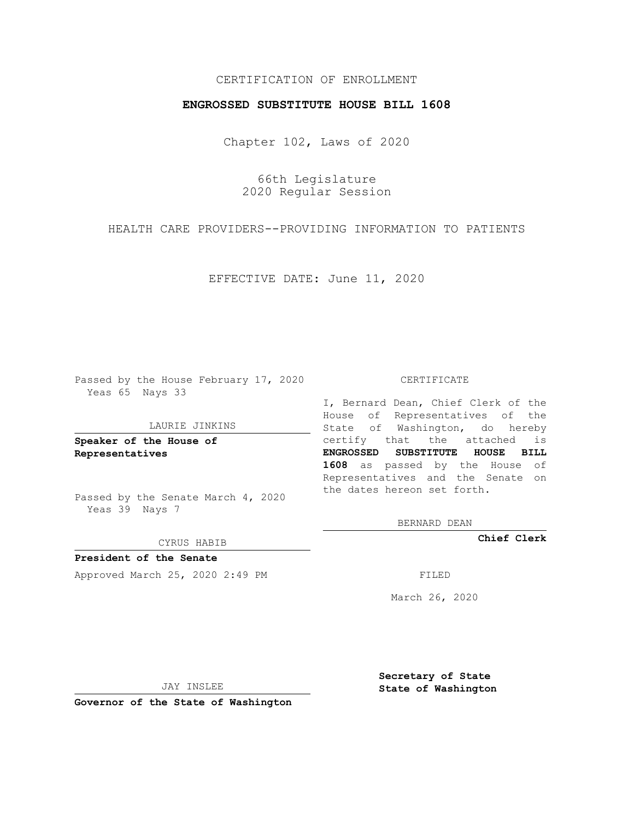## CERTIFICATION OF ENROLLMENT

## **ENGROSSED SUBSTITUTE HOUSE BILL 1608**

Chapter 102, Laws of 2020

66th Legislature 2020 Regular Session

HEALTH CARE PROVIDERS--PROVIDING INFORMATION TO PATIENTS

EFFECTIVE DATE: June 11, 2020

Passed by the House February 17, 2020 Yeas 65 Nays 33

#### LAURIE JINKINS

**Speaker of the House of Representatives**

Passed by the Senate March 4, 2020 Yeas 39 Nays 7

#### CYRUS HABIB

**President of the Senate** Approved March 25, 2020 2:49 PM

#### CERTIFICATE

I, Bernard Dean, Chief Clerk of the House of Representatives of the State of Washington, do hereby certify that the attached is **ENGROSSED SUBSTITUTE HOUSE BILL 1608** as passed by the House of Representatives and the Senate on the dates hereon set forth.

BERNARD DEAN

**Chief Clerk**

March 26, 2020

JAY INSLEE

**Governor of the State of Washington**

**Secretary of State State of Washington**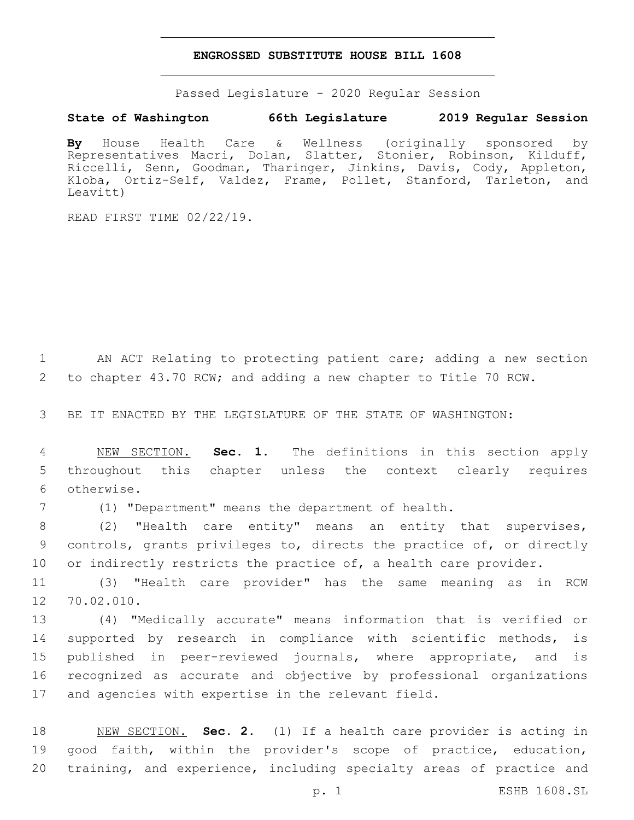### **ENGROSSED SUBSTITUTE HOUSE BILL 1608**

Passed Legislature - 2020 Regular Session

# **State of Washington 66th Legislature 2019 Regular Session**

**By** House Health Care & Wellness (originally sponsored by Representatives Macri, Dolan, Slatter, Stonier, Robinson, Kilduff, Riccelli, Senn, Goodman, Tharinger, Jinkins, Davis, Cody, Appleton, Kloba, Ortiz-Self, Valdez, Frame, Pollet, Stanford, Tarleton, and Leavitt)

READ FIRST TIME 02/22/19.

1 AN ACT Relating to protecting patient care; adding a new section 2 to chapter 43.70 RCW; and adding a new chapter to Title 70 RCW.

3 BE IT ENACTED BY THE LEGISLATURE OF THE STATE OF WASHINGTON:

4 NEW SECTION. **Sec. 1.** The definitions in this section apply 5 throughout this chapter unless the context clearly requires 6 otherwise.

7 (1) "Department" means the department of health.

8 (2) "Health care entity" means an entity that supervises, 9 controls, grants privileges to, directs the practice of, or directly 10 or indirectly restricts the practice of, a health care provider.

11 (3) "Health care provider" has the same meaning as in RCW 12 70.02.010.

 (4) "Medically accurate" means information that is verified or supported by research in compliance with scientific methods, is published in peer-reviewed journals, where appropriate, and is recognized as accurate and objective by professional organizations and agencies with expertise in the relevant field.

18 NEW SECTION. **Sec. 2.** (1) If a health care provider is acting in 19 good faith, within the provider's scope of practice, education, 20 training, and experience, including specialty areas of practice and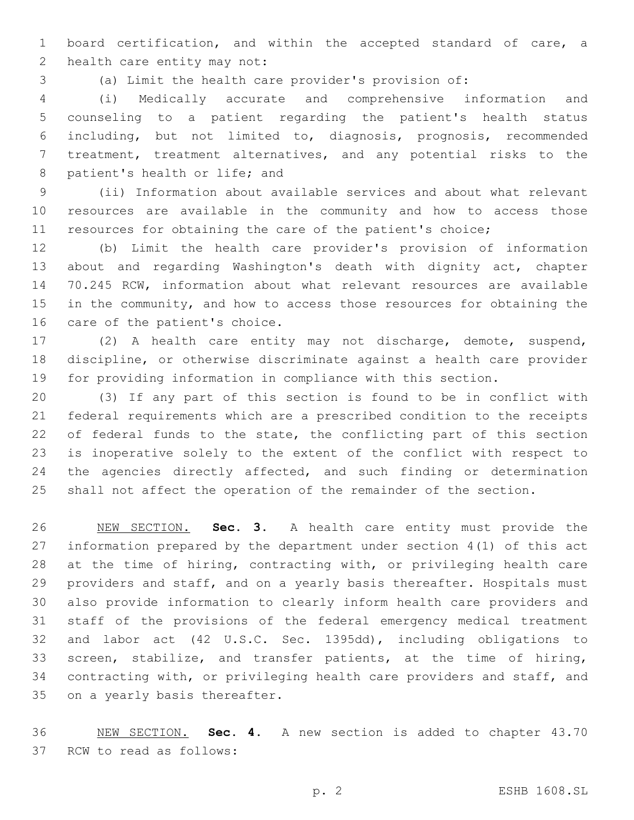board certification, and within the accepted standard of care, a 2 health care entity may not:

(a) Limit the health care provider's provision of:

 (i) Medically accurate and comprehensive information and counseling to a patient regarding the patient's health status including, but not limited to, diagnosis, prognosis, recommended treatment, treatment alternatives, and any potential risks to the 8 patient's health or life; and

 (ii) Information about available services and about what relevant resources are available in the community and how to access those resources for obtaining the care of the patient's choice;

 (b) Limit the health care provider's provision of information about and regarding Washington's death with dignity act, chapter 70.245 RCW, information about what relevant resources are available in the community, and how to access those resources for obtaining the 16 care of the patient's choice.

 (2) A health care entity may not discharge, demote, suspend, discipline, or otherwise discriminate against a health care provider for providing information in compliance with this section.

 (3) If any part of this section is found to be in conflict with federal requirements which are a prescribed condition to the receipts 22 of federal funds to the state, the conflicting part of this section is inoperative solely to the extent of the conflict with respect to 24 the agencies directly affected, and such finding or determination shall not affect the operation of the remainder of the section.

 NEW SECTION. **Sec. 3.** A health care entity must provide the information prepared by the department under section 4(1) of this act at the time of hiring, contracting with, or privileging health care providers and staff, and on a yearly basis thereafter. Hospitals must also provide information to clearly inform health care providers and staff of the provisions of the federal emergency medical treatment and labor act (42 U.S.C. Sec. 1395dd), including obligations to screen, stabilize, and transfer patients, at the time of hiring, contracting with, or privileging health care providers and staff, and on a yearly basis thereafter.

 NEW SECTION. **Sec. 4.** A new section is added to chapter 43.70 37 RCW to read as follows: